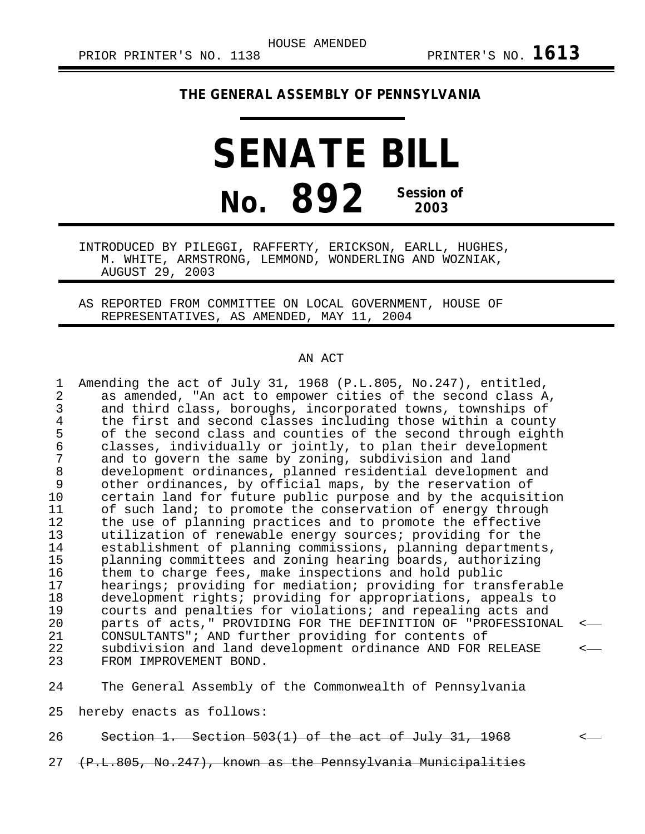## **THE GENERAL ASSEMBLY OF PENNSYLVANIA**

## **SENATE BILL No. 892 Session of 2003**

INTRODUCED BY PILEGGI, RAFFERTY, ERICKSON, EARLL, HUGHES, M. WHITE, ARMSTRONG, LEMMOND, WONDERLING AND WOZNIAK, AUGUST 29, 2003

AS REPORTED FROM COMMITTEE ON LOCAL GOVERNMENT, HOUSE OF REPRESENTATIVES, AS AMENDED, MAY 11, 2004

## AN ACT

| $\mathbf{1}$<br>$\overline{a}$<br>3<br>4 | Amending the act of July 31, 1968 (P.L.805, No.247), entitled,<br>as amended, "An act to empower cities of the second class A,<br>and third class, boroughs, incorporated towns, townships of<br>the first and second classes including those within a county |              |
|------------------------------------------|---------------------------------------------------------------------------------------------------------------------------------------------------------------------------------------------------------------------------------------------------------------|--------------|
| 5                                        | of the second class and counties of the second through eighth                                                                                                                                                                                                 |              |
| б                                        | classes, individually or jointly, to plan their development                                                                                                                                                                                                   |              |
| 7                                        | and to govern the same by zoning, subdivision and land                                                                                                                                                                                                        |              |
| $\,8\,$<br>9                             | development ordinances, planned residential development and<br>other ordinances, by official maps, by the reservation of                                                                                                                                      |              |
| 10                                       | certain land for future public purpose and by the acquisition                                                                                                                                                                                                 |              |
| 11                                       | of such land; to promote the conservation of energy through                                                                                                                                                                                                   |              |
| 12                                       | the use of planning practices and to promote the effective                                                                                                                                                                                                    |              |
| 13                                       | utilization of renewable energy sources; providing for the                                                                                                                                                                                                    |              |
| 14                                       | establishment of planning commissions, planning departments,                                                                                                                                                                                                  |              |
| 15                                       | planning committees and zoning hearing boards, authorizing                                                                                                                                                                                                    |              |
| 16                                       | them to charge fees, make inspections and hold public                                                                                                                                                                                                         |              |
| 17                                       | hearings; providing for mediation; providing for transferable                                                                                                                                                                                                 |              |
| 18                                       | development rights; providing for appropriations, appeals to                                                                                                                                                                                                  |              |
| 19                                       | courts and penalties for violations; and repealing acts and                                                                                                                                                                                                   |              |
| 20                                       | parts of acts," PROVIDING FOR THE DEFINITION OF "PROFESSIONAL                                                                                                                                                                                                 | $\leftarrow$ |
| 21                                       | CONSULTANTS"; AND further providing for contents of                                                                                                                                                                                                           |              |
| 22                                       | subdivision and land development ordinance AND FOR RELEASE<br>FROM IMPROVEMENT BOND.                                                                                                                                                                          | <—           |
| 23                                       |                                                                                                                                                                                                                                                               |              |
| 24                                       | The General Assembly of the Commonwealth of Pennsylvania                                                                                                                                                                                                      |              |

25 hereby enacts as follows:

26 Section 1. Section 503(1) of the act of July 31, 1968 <

27 (P.L.805, No.247), known as the Pennsylvania Municipalities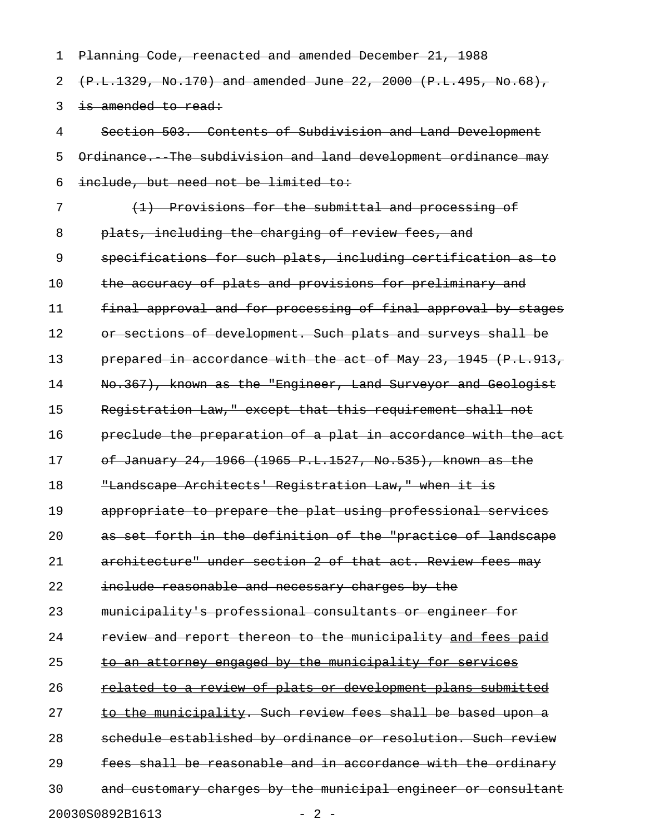| 1  | Planning Code, reenacted and amended December 21, 1988             |
|----|--------------------------------------------------------------------|
| 2  | $(P.L.1329, No.170)$ and amended June 22, 2000 (P.L.495, No.68),   |
| 3  | <del>is amended to read:</del>                                     |
| 4  | Section 503. Contents of Subdivision and Land Development          |
| 5  | Ordinance. The subdivision and land development ordinance may      |
| 6  | include, but need not be limited to:                               |
| 7  | (1) Provisions for the submittal and processing of                 |
| 8  | plats, including the charging of review fees, and                  |
| 9  | specifications for such plats, including certification as to       |
| 10 | the accuracy of plats and provisions for preliminary and           |
| 11 | final approval and for processing of final approval by stages      |
| 12 | or sections of development. Such plats and surveys shall be        |
| 13 | prepared in accordance with the act of May 23, 1945 (P.L.913,      |
| 14 | No.367), known as the "Engineer, Land Surveyor and Geologist       |
| 15 | Registration Law," except that this requirement shall not          |
| 16 | preclude the preparation of a plat in accordance with the act      |
| 17 | of January 24, 1966 (1965 P.L.1527, No.535), known as the          |
| 18 | "Landscape Architects' Registration Law," when it is               |
| 19 | appropriate to prepare the plat using professional services        |
| 20 | as set forth in the definition of the "practice of landscape       |
| 21 | architecture" under section 2 of that act. Review fees may         |
| 22 | include reasonable and necessary charges by the                    |
| 23 | municipality's professional consultants or engineer for            |
| 24 | review and report thereon to the municipality and fees paid        |
| 25 | to an attorney engaged by the municipality for services            |
| 26 | <u>related to a review of plats or development plans submitted</u> |
| 27 | to the municipality. Such review fees shall be based upon a        |
| 28 | schedule established by ordinance or resolution. Such review       |
| 29 | fees shall be reasonable and in accordance with the ordinary       |
| 30 | and customary charges by the municipal engineer or consultant      |
|    | 20030S0892B1613<br>$-2-$                                           |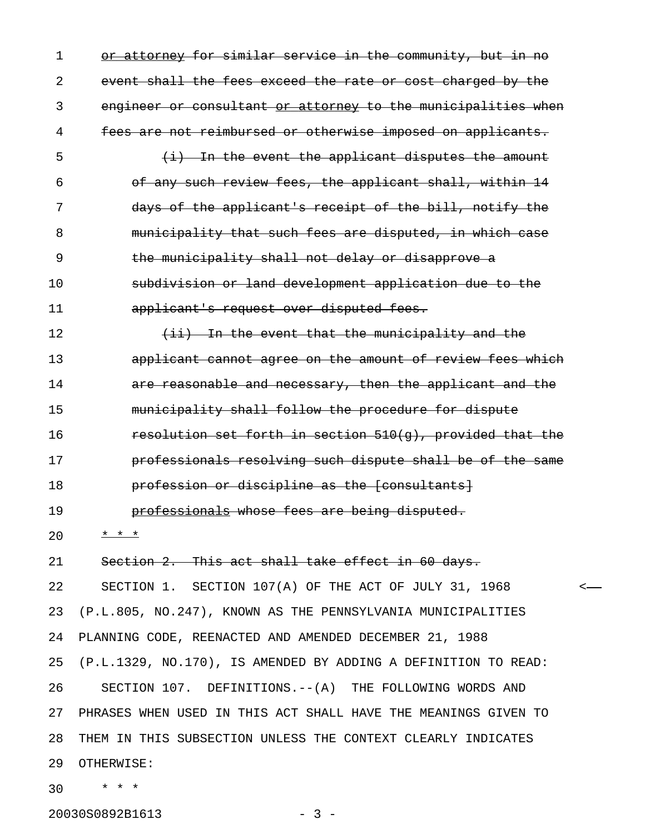1 or attorney for similar service in the community, but in no 2 event shall the fees exceed the rate or cost charged by the 3 engineer or consultant or attorney to the municipalities when 4 fees are not reimbursed or otherwise imposed on applicants.  $\frac{1}{1}$   $\frac{1}{1}$  In the event the applicant disputes the amount 6 of any such review fees, the applicant shall, within 14 7 days of the applicant's receipt of the bill, notify the 8 municipality that such fees are disputed, in which case 9 the municipality shall not delay or disapprove a 10 subdivision or land development application due to the 11 applicant's request over disputed fees. 12 (ii) In the event that the municipality and the 13 applicant cannot agree on the amount of review fees which 14 **are reasonable and necessary, then the applicant and the** 15 municipality shall follow the procedure for dispute 16 **resolution set forth in section 510(g), provided that the** 17 **professionals resolving such dispute shall be of the same** 18 **profession or discipline as the [consultants]** 19 **professionals whose fees are being disputed.**  $20 \times x + x$ 21 Section 2. This act shall take effect in 60 days. 22 SECTION 1. SECTION 107(A) OF THE ACT OF JULY 31, 1968 < 23 (P.L.805, NO.247), KNOWN AS THE PENNSYLVANIA MUNICIPALITIES 24 PLANNING CODE, REENACTED AND AMENDED DECEMBER 21, 1988 25 (P.L.1329, NO.170), IS AMENDED BY ADDING A DEFINITION TO READ: 26 SECTION 107. DEFINITIONS.--(A) THE FOLLOWING WORDS AND 27 PHRASES WHEN USED IN THIS ACT SHALL HAVE THE MEANINGS GIVEN TO 28 THEM IN THIS SUBSECTION UNLESS THE CONTEXT CLEARLY INDICATES 29 OTHERWISE: 30 \* \* \*

20030S0892B1613 - 3 -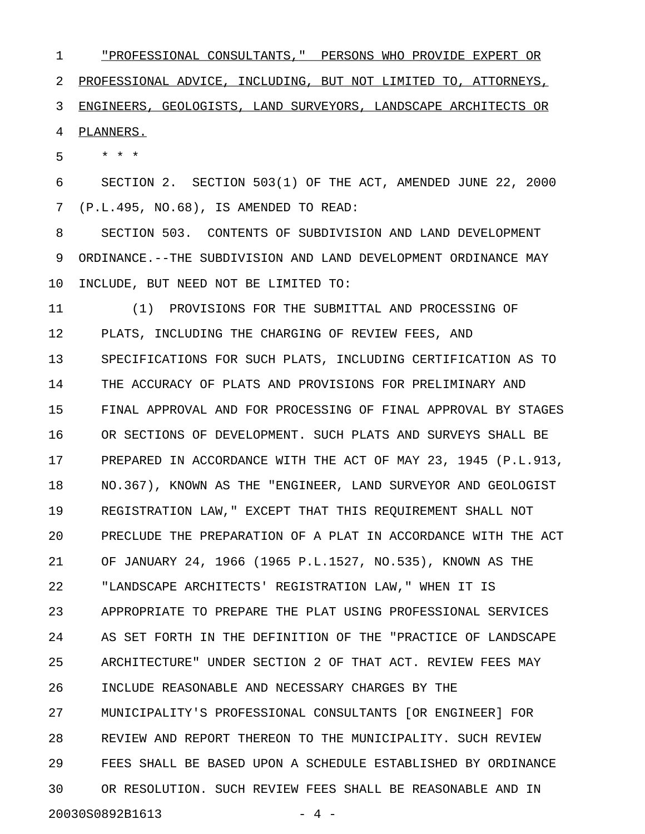1 "PROFESSIONAL CONSULTANTS," PERSONS WHO PROVIDE EXPERT OR \_\_\_\_\_\_\_\_\_\_\_\_\_\_\_\_\_\_\_\_\_\_\_\_\_\_\_\_\_\_\_\_\_\_\_\_\_\_\_\_\_\_\_\_\_\_\_\_\_\_\_\_\_\_\_\_\_\_ 2 PROFESSIONAL ADVICE, INCLUDING, BUT NOT LIMITED TO, ATTORNEYS, 3 ENGINEERS, GEOLOGISTS, LAND SURVEYORS, LANDSCAPE ARCHITECTS OR 4 **PLANNERS.** 

5 \* \* \*

6 SECTION 2. SECTION 503(1) OF THE ACT, AMENDED JUNE 22, 2000 7 (P.L.495, NO.68), IS AMENDED TO READ:

8 SECTION 503. CONTENTS OF SUBDIVISION AND LAND DEVELOPMENT 9 ORDINANCE.--THE SUBDIVISION AND LAND DEVELOPMENT ORDINANCE MAY 10 INCLUDE, BUT NEED NOT BE LIMITED TO:

11 (1) PROVISIONS FOR THE SUBMITTAL AND PROCESSING OF 12 PLATS, INCLUDING THE CHARGING OF REVIEW FEES, AND 13 SPECIFICATIONS FOR SUCH PLATS, INCLUDING CERTIFICATION AS TO 14 THE ACCURACY OF PLATS AND PROVISIONS FOR PRELIMINARY AND 15 FINAL APPROVAL AND FOR PROCESSING OF FINAL APPROVAL BY STAGES 16 OR SECTIONS OF DEVELOPMENT. SUCH PLATS AND SURVEYS SHALL BE 17 PREPARED IN ACCORDANCE WITH THE ACT OF MAY 23, 1945 (P.L.913, 18 NO.367), KNOWN AS THE "ENGINEER, LAND SURVEYOR AND GEOLOGIST 19 REGISTRATION LAW," EXCEPT THAT THIS REQUIREMENT SHALL NOT 20 PRECLUDE THE PREPARATION OF A PLAT IN ACCORDANCE WITH THE ACT 21 OF JANUARY 24, 1966 (1965 P.L.1527, NO.535), KNOWN AS THE 22 "LANDSCAPE ARCHITECTS' REGISTRATION LAW," WHEN IT IS 23 APPROPRIATE TO PREPARE THE PLAT USING PROFESSIONAL SERVICES 24 AS SET FORTH IN THE DEFINITION OF THE "PRACTICE OF LANDSCAPE 25 ARCHITECTURE" UNDER SECTION 2 OF THAT ACT. REVIEW FEES MAY 26 INCLUDE REASONABLE AND NECESSARY CHARGES BY THE 27 MUNICIPALITY'S PROFESSIONAL CONSULTANTS [OR ENGINEER] FOR 28 REVIEW AND REPORT THEREON TO THE MUNICIPALITY. SUCH REVIEW 29 FEES SHALL BE BASED UPON A SCHEDULE ESTABLISHED BY ORDINANCE 30 OR RESOLUTION. SUCH REVIEW FEES SHALL BE REASONABLE AND IN 20030S0892B1613 - 4 -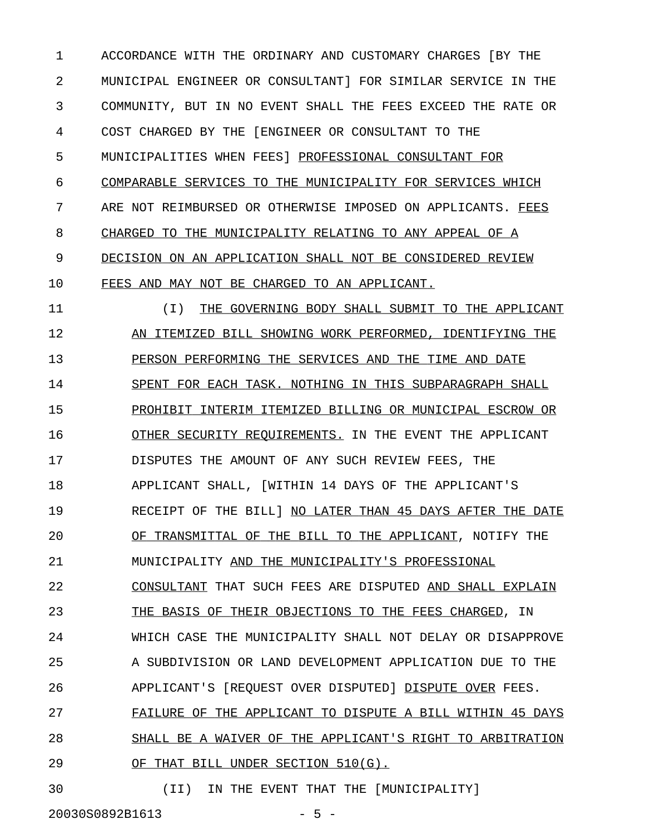1 ACCORDANCE WITH THE ORDINARY AND CUSTOMARY CHARGES [BY THE 2 MUNICIPAL ENGINEER OR CONSULTANT] FOR SIMILAR SERVICE IN THE 3 COMMUNITY, BUT IN NO EVENT SHALL THE FEES EXCEED THE RATE OR 4 COST CHARGED BY THE [ENGINEER OR CONSULTANT TO THE 5 MUNICIPALITIES WHEN FEES] PROFESSIONAL CONSULTANT FOR 6 COMPARABLE SERVICES TO THE MUNICIPALITY FOR SERVICES WHICH 7 ARE NOT REIMBURSED OR OTHERWISE IMPOSED ON APPLICANTS. FEES 8 CHARGED TO THE MUNICIPALITY RELATING TO ANY APPEAL OF A 9 DECISION ON AN APPLICATION SHALL NOT BE CONSIDERED REVIEW 10 FEES AND MAY NOT BE CHARGED TO AN APPLICANT.

11 (I) THE GOVERNING BODY SHALL SUBMIT TO THE APPLICANT \_\_\_\_\_\_\_\_\_\_\_\_\_\_\_\_\_\_\_\_\_\_\_\_\_\_\_\_\_\_\_\_\_\_\_\_\_\_\_\_\_\_\_\_\_\_\_\_ 12 AN ITEMIZED BILL SHOWING WORK PERFORMED, IDENTIFYING THE 13 PERSON PERFORMING THE SERVICES AND THE TIME AND DATE 14 SPENT FOR EACH TASK. NOTHING IN THIS SUBPARAGRAPH SHALL 15 PROHIBIT INTERIM ITEMIZED BILLING OR MUNICIPAL ESCROW OR 16 OTHER SECURITY REQUIREMENTS. IN THE EVENT THE APPLICANT 17 DISPUTES THE AMOUNT OF ANY SUCH REVIEW FEES, THE 18 APPLICANT SHALL, [WITHIN 14 DAYS OF THE APPLICANT'S 19 RECEIPT OF THE BILL] NO LATER THAN 45 DAYS AFTER THE DATE 20 OF TRANSMITTAL OF THE BILL TO THE APPLICANT, NOTIFY THE 21 MUNICIPALITY AND THE MUNICIPALITY'S PROFESSIONAL 22 CONSULTANT THAT SUCH FEES ARE DISPUTED AND SHALL EXPLAIN 23 THE BASIS OF THEIR OBJECTIONS TO THE FEES CHARGED, IN 24 WHICH CASE THE MUNICIPALITY SHALL NOT DELAY OR DISAPPROVE 25 A SUBDIVISION OR LAND DEVELOPMENT APPLICATION DUE TO THE 26 APPLICANT'S [REQUEST OVER DISPUTED] DISPUTE OVER FEES. 27 FAILURE OF THE APPLICANT TO DISPUTE A BILL WITHIN 45 DAYS 28 SHALL BE A WAIVER OF THE APPLICANT'S RIGHT TO ARBITRATION 29 OF THAT BILL UNDER SECTION 510(G).

30 (II) IN THE EVENT THAT THE [MUNICIPALITY]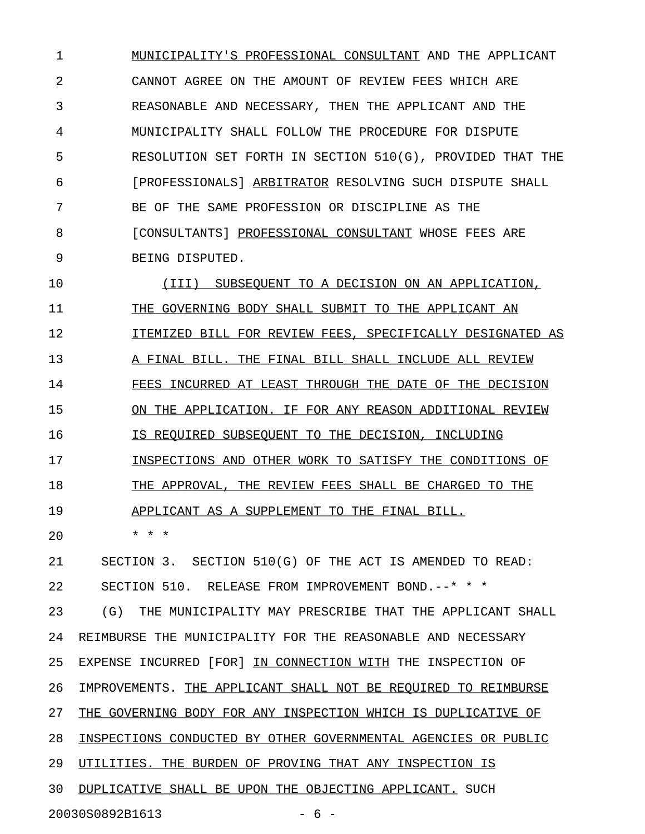1 MUNICIPALITY'S PROFESSIONAL CONSULTANT AND THE APPLICANT 2 CANNOT AGREE ON THE AMOUNT OF REVIEW FEES WHICH ARE 3 REASONABLE AND NECESSARY, THEN THE APPLICANT AND THE 4 MUNICIPALITY SHALL FOLLOW THE PROCEDURE FOR DISPUTE 5 RESOLUTION SET FORTH IN SECTION 510(G), PROVIDED THAT THE 6 [PROFESSIONALS] ARBITRATOR RESOLVING SUCH DISPUTE SHALL 7 BE OF THE SAME PROFESSION OR DISCIPLINE AS THE 8 [CONSULTANTS] PROFESSIONAL CONSULTANT WHOSE FEES ARE 9 BEING DISPUTED.

10  $(III)$  SUBSEQUENT TO A DECISION ON AN APPLICATION, 11 THE GOVERNING BODY SHALL SUBMIT TO THE APPLICANT AN 12 **ITEMIZED BILL FOR REVIEW FEES, SPECIFICALLY DESIGNATED AS** 13 A FINAL BILL. THE FINAL BILL SHALL INCLUDE ALL REVIEW 14 FEES INCURRED AT LEAST THROUGH THE DATE OF THE DECISION 15 ON THE APPLICATION. IF FOR ANY REASON ADDITIONAL REVIEW 16 IS REQUIRED SUBSEQUENT TO THE DECISION, INCLUDING 17 INSPECTIONS AND OTHER WORK TO SATISFY THE CONDITIONS OF 18 THE APPROVAL, THE REVIEW FEES SHALL BE CHARGED TO THE 19 APPLICANT AS A SUPPLEMENT TO THE FINAL BILL. 20 \* \* \* 21 SECTION 3. SECTION 510(G) OF THE ACT IS AMENDED TO READ: 22 SECTION 510. RELEASE FROM IMPROVEMENT BOND.--\* \* \* 23 (G) THE MUNICIPALITY MAY PRESCRIBE THAT THE APPLICANT SHALL 24 REIMBURSE THE MUNICIPALITY FOR THE REASONABLE AND NECESSARY 25 EXPENSE INCURRED [FOR] IN CONNECTION WITH THE INSPECTION OF 26 IMPROVEMENTS. THE APPLICANT SHALL NOT BE REQUIRED TO REIMBURSE 27 THE GOVERNING BODY FOR ANY INSPECTION WHICH IS DUPLICATIVE OF 28 INSPECTIONS CONDUCTED BY OTHER GOVERNMENTAL AGENCIES OR PUBLIC 29 UTILITIES. THE BURDEN OF PROVING THAT ANY INSPECTION IS 30 DUPLICATIVE SHALL BE UPON THE OBJECTING APPLICANT. SUCH 20030S0892B1613 - 6 -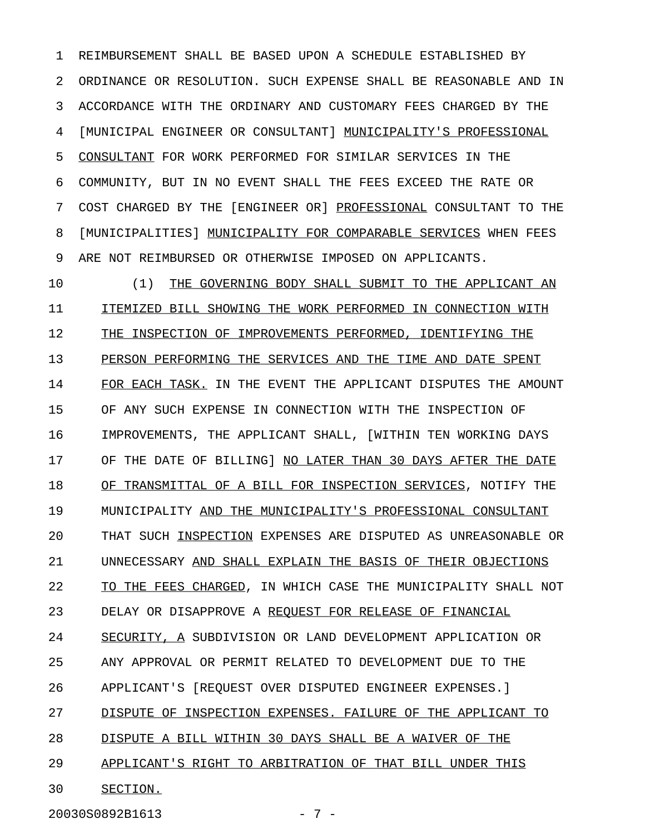1 REIMBURSEMENT SHALL BE BASED UPON A SCHEDULE ESTABLISHED BY 2 ORDINANCE OR RESOLUTION. SUCH EXPENSE SHALL BE REASONABLE AND IN 3 ACCORDANCE WITH THE ORDINARY AND CUSTOMARY FEES CHARGED BY THE 4 [MUNICIPAL ENGINEER OR CONSULTANT] MUNICIPALITY'S PROFESSIONAL 5 CONSULTANT FOR WORK PERFORMED FOR SIMILAR SERVICES IN THE 6 COMMUNITY, BUT IN NO EVENT SHALL THE FEES EXCEED THE RATE OR 7 COST CHARGED BY THE [ENGINEER OR] PROFESSIONAL CONSULTANT TO THE 8 [MUNICIPALITIES] MUNICIPALITY FOR COMPARABLE SERVICES WHEN FEES 9 ARE NOT REIMBURSED OR OTHERWISE IMPOSED ON APPLICANTS.

10 (1) THE GOVERNING BODY SHALL SUBMIT TO THE APPLICANT AN \_\_\_\_\_\_\_\_\_\_\_\_\_\_\_\_\_\_\_\_\_\_\_\_\_\_\_\_\_\_\_\_\_\_\_\_\_\_\_\_\_\_\_\_\_\_\_\_\_\_\_ 11 ITEMIZED BILL SHOWING THE WORK PERFORMED IN CONNECTION WITH 12 THE INSPECTION OF IMPROVEMENTS PERFORMED, IDENTIFYING THE 13 PERSON PERFORMING THE SERVICES AND THE TIME AND DATE SPENT 14 FOR EACH TASK. IN THE EVENT THE APPLICANT DISPUTES THE AMOUNT 15 OF ANY SUCH EXPENSE IN CONNECTION WITH THE INSPECTION OF 16 IMPROVEMENTS, THE APPLICANT SHALL, [WITHIN TEN WORKING DAYS 17 OF THE DATE OF BILLING] NO LATER THAN 30 DAYS AFTER THE DATE 18 OF TRANSMITTAL OF A BILL FOR INSPECTION SERVICES, NOTIFY THE 19 MUNICIPALITY AND THE MUNICIPALITY'S PROFESSIONAL CONSULTANT 20 THAT SUCH INSPECTION EXPENSES ARE DISPUTED AS UNREASONABLE OR 21 UNNECESSARY AND SHALL EXPLAIN THE BASIS OF THEIR OBJECTIONS 22 TO THE FEES CHARGED, IN WHICH CASE THE MUNICIPALITY SHALL NOT 23 DELAY OR DISAPPROVE A REQUEST FOR RELEASE OF FINANCIAL 24 SECURITY, A SUBDIVISION OR LAND DEVELOPMENT APPLICATION OR 25 ANY APPROVAL OR PERMIT RELATED TO DEVELOPMENT DUE TO THE 26 APPLICANT'S [REQUEST OVER DISPUTED ENGINEER EXPENSES.] 27 DISPUTE OF INSPECTION EXPENSES. FAILURE OF THE APPLICANT TO 28 DISPUTE A BILL WITHIN 30 DAYS SHALL BE A WAIVER OF THE 29 APPLICANT'S RIGHT TO ARBITRATION OF THAT BILL UNDER THIS 30 SECTION.

20030S0892B1613 - 7 -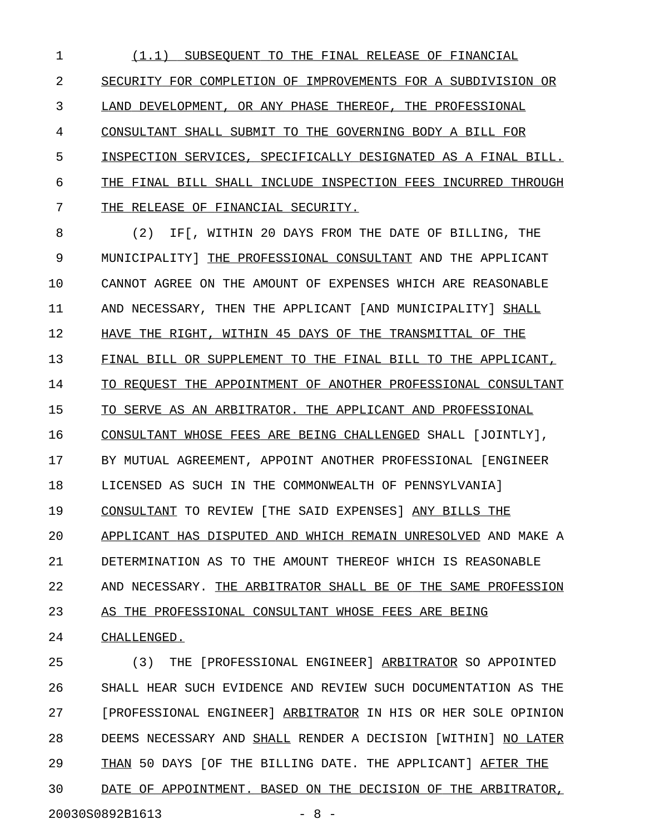1 (1.1) SUBSEQUENT TO THE FINAL RELEASE OF FINANCIAL \_\_\_\_\_\_\_\_\_\_\_\_\_\_\_\_\_\_\_\_\_\_\_\_\_\_\_\_\_\_\_\_\_\_\_\_\_\_\_\_\_\_\_\_\_\_\_\_\_\_\_ 2 SECURITY FOR COMPLETION OF IMPROVEMENTS FOR A SUBDIVISION OR 3 LAND DEVELOPMENT, OR ANY PHASE THEREOF, THE PROFESSIONAL 4 CONSULTANT SHALL SUBMIT TO THE GOVERNING BODY A BILL FOR 5 INSPECTION SERVICES, SPECIFICALLY DESIGNATED AS A FINAL BILL. 6 THE FINAL BILL SHALL INCLUDE INSPECTION FEES INCURRED THROUGH 7 THE RELEASE OF FINANCIAL SECURITY.

8 (2) IF[, WITHIN 20 DAYS FROM THE DATE OF BILLING, THE 9 MUNICIPALITY | THE PROFESSIONAL CONSULTANT AND THE APPLICANT 10 CANNOT AGREE ON THE AMOUNT OF EXPENSES WHICH ARE REASONABLE 11 AND NECESSARY, THEN THE APPLICANT [AND MUNICIPALITY] SHALL 12 HAVE THE RIGHT, WITHIN 45 DAYS OF THE TRANSMITTAL OF THE 13 FINAL BILL OR SUPPLEMENT TO THE FINAL BILL TO THE APPLICANT, 14 TO REQUEST THE APPOINTMENT OF ANOTHER PROFESSIONAL CONSULTANT 15 TO SERVE AS AN ARBITRATOR. THE APPLICANT AND PROFESSIONAL 16 CONSULTANT WHOSE FEES ARE BEING CHALLENGED SHALL [JOINTLY], 17 BY MUTUAL AGREEMENT, APPOINT ANOTHER PROFESSIONAL [ENGINEER 18 LICENSED AS SUCH IN THE COMMONWEALTH OF PENNSYLVANIA] 19 CONSULTANT TO REVIEW [THE SAID EXPENSES] ANY BILLS THE 20 APPLICANT HAS DISPUTED AND WHICH REMAIN UNRESOLVED AND MAKE A 21 DETERMINATION AS TO THE AMOUNT THEREOF WHICH IS REASONABLE 22 AND NECESSARY. THE ARBITRATOR SHALL BE OF THE SAME PROFESSION 23 AS THE PROFESSIONAL CONSULTANT WHOSE FEES ARE BEING 24 CHALLENGED.

25 (3) THE [PROFESSIONAL ENGINEER] ARBITRATOR SO APPOINTED 26 SHALL HEAR SUCH EVIDENCE AND REVIEW SUCH DOCUMENTATION AS THE 27 [PROFESSIONAL ENGINEER] ARBITRATOR IN HIS OR HER SOLE OPINION 28 DEEMS NECESSARY AND SHALL RENDER A DECISION [WITHIN] NO LATER 29 THAN 50 DAYS [OF THE BILLING DATE. THE APPLICANT] AFTER THE 30 DATE OF APPOINTMENT. BASED ON THE DECISION OF THE ARBITRATOR, 20030S0892B1613 - 8 -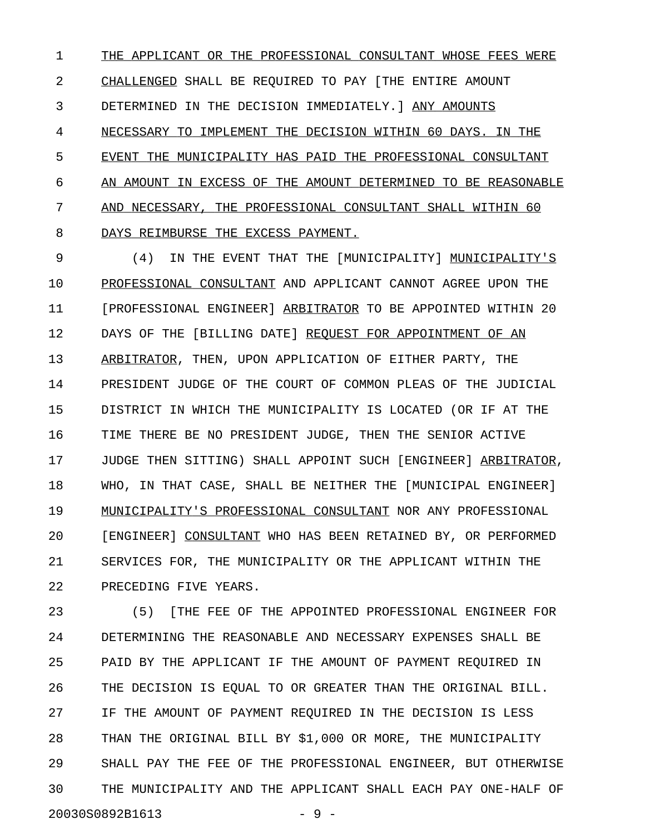1 THE APPLICANT OR THE PROFESSIONAL CONSULTANT WHOSE FEES WERE 2 CHALLENGED SHALL BE REQUIRED TO PAY [THE ENTIRE AMOUNT 3 DETERMINED IN THE DECISION IMMEDIATELY. ] ANY AMOUNTS 4 NECESSARY TO IMPLEMENT THE DECISION WITHIN 60 DAYS. IN THE 5 EVENT THE MUNICIPALITY HAS PAID THE PROFESSIONAL CONSULTANT 6 AN AMOUNT IN EXCESS OF THE AMOUNT DETERMINED TO BE REASONABLE 7 AND NECESSARY, THE PROFESSIONAL CONSULTANT SHALL WITHIN 60 8 DAYS REIMBURSE THE EXCESS PAYMENT.

9 (4) IN THE EVENT THAT THE [MUNICIPALITY] MUNICIPALITY'S \_\_\_\_\_\_\_\_\_\_\_\_\_\_ 10 PROFESSIONAL CONSULTANT AND APPLICANT CANNOT AGREE UPON THE 11 [PROFESSIONAL ENGINEER] ARBITRATOR TO BE APPOINTED WITHIN 20 12 DAYS OF THE [BILLING DATE] REQUEST FOR APPOINTMENT OF AN 13 ARBITRATOR, THEN, UPON APPLICATION OF EITHER PARTY, THE 14 PRESIDENT JUDGE OF THE COURT OF COMMON PLEAS OF THE JUDICIAL 15 DISTRICT IN WHICH THE MUNICIPALITY IS LOCATED (OR IF AT THE 16 TIME THERE BE NO PRESIDENT JUDGE, THEN THE SENIOR ACTIVE 17 JUDGE THEN SITTING) SHALL APPOINT SUCH [ENGINEER] ARBITRATOR, 18 WHO, IN THAT CASE, SHALL BE NEITHER THE [MUNICIPAL ENGINEER] 19 MUNICIPALITY'S PROFESSIONAL CONSULTANT NOR ANY PROFESSIONAL 20 [ENGINEER] CONSULTANT WHO HAS BEEN RETAINED BY, OR PERFORMED 21 SERVICES FOR, THE MUNICIPALITY OR THE APPLICANT WITHIN THE 22 PRECEDING FIVE YEARS.

23 (5) [THE FEE OF THE APPOINTED PROFESSIONAL ENGINEER FOR 24 DETERMINING THE REASONABLE AND NECESSARY EXPENSES SHALL BE 25 PAID BY THE APPLICANT IF THE AMOUNT OF PAYMENT REQUIRED IN 26 THE DECISION IS EQUAL TO OR GREATER THAN THE ORIGINAL BILL. 27 IF THE AMOUNT OF PAYMENT REQUIRED IN THE DECISION IS LESS 28 THAN THE ORIGINAL BILL BY \$1,000 OR MORE, THE MUNICIPALITY 29 SHALL PAY THE FEE OF THE PROFESSIONAL ENGINEER, BUT OTHERWISE 30 THE MUNICIPALITY AND THE APPLICANT SHALL EACH PAY ONE-HALF OF 20030S0892B1613 - 9 -